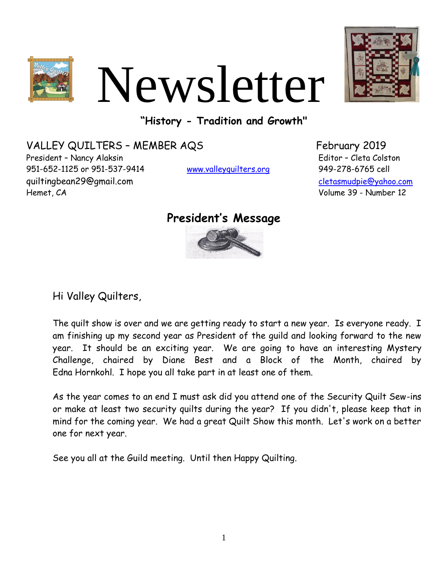

# Newsletter



**"History - Tradition and Growth"**

VALLEY QUILTERS - MEMBER AQS
February 2019 President – Nancy Alaksin Editor – Cleta Colston 951-652-1125 or 951-537-9414 [www.valleyquilters.org](http://www.valleyquilters.org/) 949-278-6765 cell quiltingbean29@gmail.com [cletasmudpie@yahoo.com](file:///C:/Users/Cleta%20Colston/Documents/Valley%20Quilters%20Newsletter%202010-2012/cletasmudpie@yahoo.com) Hemet, CA Volume 39 - Number 12

### **President's Message**



Hi Valley Quilters,

The quilt show is over and we are getting ready to start a new year. Is everyone ready. I am finishing up my second year as President of the guild and looking forward to the new year. It should be an exciting year. We are going to have an interesting Mystery Challenge, chaired by Diane Best and a Block of the Month, chaired by Edna Hornkohl. I hope you all take part in at least one of them.

As the year comes to an end I must ask did you attend one of the Security Quilt Sew-ins or make at least two security quilts during the year? If you didn't, please keep that in mind for the coming year. We had a great Quilt Show this month. Let's work on a better one for next year.

See you all at the Guild meeting. Until then Happy Quilting.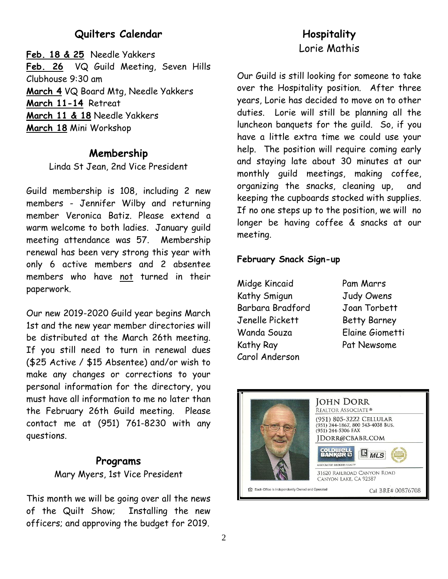#### **Quilters Calendar**

**Feb. 18 & 25** Needle Yakkers **Feb. 26** VQ Guild Meeting, Seven Hills Clubhouse 9:30 am **March 4** VQ Board Mtg, Needle Yakkers **March 11-14** Retreat **March 11 & 18** Needle Yakkers **March 18** Mini Workshop

#### **Membership**

Linda St Jean, 2nd Vice President

Guild membership is 108, including 2 new members - Jennifer Wilby and returning member Veronica Batiz. Please extend a warm welcome to both ladies. January guild meeting attendance was 57. Membership renewal has been very strong this year with only 6 active members and 2 absentee members who have not turned in their paperwork.

Our new 2019-2020 Guild year begins March 1st and the new year member directories will be distributed at the March 26th meeting. If you still need to turn in renewal dues (\$25 Active / \$15 Absentee) and/or wish to make any changes or corrections to your personal information for the directory, you must have all information to me no later than the February 26th Guild meeting. Please contact me at (951) 761-8230 with any questions.

#### **Programs**

Mary Myers, 1st Vice President

This month we will be going over all the news of the Quilt Show; Installing the new officers; and approving the budget for 2019.

#### **Hospitality** Lorie Mathis

Our Guild is still looking for someone to take over the Hospitality position. After three years, Lorie has decided to move on to other duties. Lorie will still be planning all the luncheon banquets for the guild. So, if you have a little extra time we could use your help. The position will require coming early and staying late about 30 minutes at our monthly guild meetings, making coffee, organizing the snacks, cleaning up, and keeping the cupboards stocked with supplies. If no one steps up to the position, we will no longer be having coffee & snacks at our meeting.

#### **February Snack Sign-up**

Midge Kincaid Pam Marrs Kathy Smigun Judy Owens Barbara Bradford Joan Torbett Jenelle Pickett Betty Barney Wanda Souza Elaine Giometti Kathy Ray Pat Newsome Carol Anderson

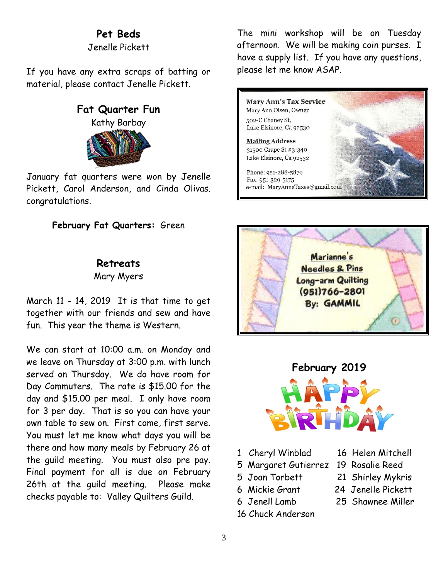#### **Pet Beds**

Jenelle Pickett

If you have any extra scraps of batting or material, please contact Jenelle Pickett.

#### **Fat Quarter Fun**

Kathy Barbay

January fat quarters were won by Jenelle Pickett, Carol Anderson, and Cinda Olivas. congratulations.

#### **February Fat Quarters:** Green

#### **Retreats**

Mary Myers

March 11 - 14, 2019 It is that time to get together with our friends and sew and have fun. This year the theme is Western.

We can start at 10:00 a.m. on Monday and we leave on Thursday at 3:00 p.m. with lunch served on Thursday. We do have room for Day Commuters. The rate is \$15.00 for the day and \$15.00 per meal. I only have room for 3 per day. That is so you can have your own table to sew on. First come, first serve. You must let me know what days you will be there and how many meals by February 26 at the guild meeting. You must also pre pay. Final payment for all is due on February 26th at the guild meeting. Please make checks payable to: Valley Quilters Guild.

The mini workshop will be on Tuesday afternoon. We will be making coin purses. I have a supply list. If you have any questions, please let me know ASAP.







- 1 Cheryl Winblad 16 Helen Mitchell
- 5 Margaret Gutierrez 19 Rosalie Reed
- 
- 
- 
- 16 Chuck Anderson
- 
- 
- 5 Joan Torbett 21 Shirley Mykris
- 6 Mickie Grant 24 Jenelle Pickett
- 6 Jenell Lamb 25 Shawnee Miller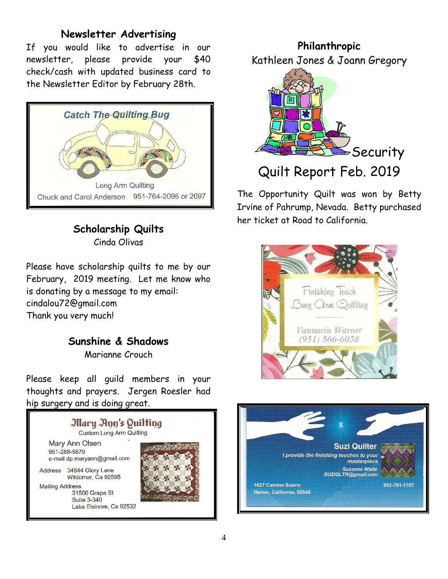#### **Newsletter Advertising**

If you would like to advertise in our newsletter, please provide your \$40 check/cash with updated business card to the Newsletter Editor by February 28th.



**Scholarship Quilts** Cinda Olivas

Please have scholarship quilts to me by our February, 2019 meeting. Let me know who is donating by a message to my email: cindalou72@gmail.com Thank you very much!

# **Sunshine & Shadows**

Marianne Crouch

Please keep all guild members in your thoughts and prayers. Jergen Roesler had hip surgery and is doing great.



**Philanthropic**  Kathleen Jones & Joann Gregory



The Opportunity Quilt was won by Betty Irvine of Pahrump, Nevada. Betty purchased her ticket at Road to California.



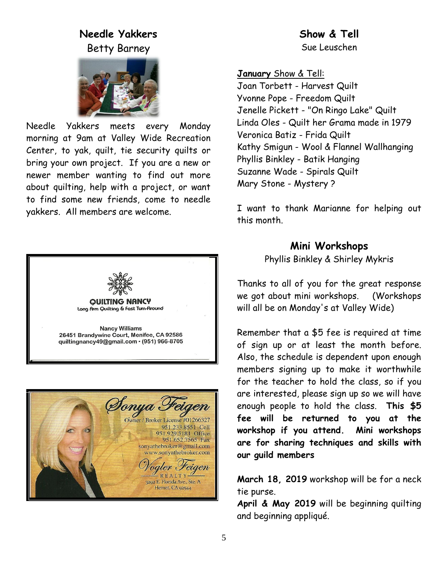#### **Needle Yakkers** Betty Barney



Needle Yakkers meets every Monday morning at 9am at Valley Wide Recreation Center, to yak, quilt, tie security quilts or bring your own project. If you are a new or newer member wanting to find out more about quilting, help with a project, or want to find some new friends, come to needle yakkers. All members are welcome.





**January** Show & Tell:

Joan Torbett - Harvest Quilt Yvonne Pope - Freedom Quilt Jenelle Pickett - "On Ringo Lake" Quilt Linda Oles - Quilt her Grama made in 1979 Veronica Batiz - Frida Quilt Kathy Smigun - Wool & Flannel Wallhanging Phyllis Binkley - Batik Hanging Suzanne Wade - Spirals Quilt Mary Stone - Mystery ?

I want to thank Marianne for helping out this month.

## **Mini Workshops**

Phyllis Binkley & Shirley Mykris

Thanks to all of you for the great response we got about mini workshops. (Workshops will all be on Monday's at Valley Wide)

Remember that a \$5 fee is required at time of sign up or at least the month before. Also, the schedule is dependent upon enough members signing up to make it worthwhile for the teacher to hold the class, so if you are interested, please sign up so we will have enough people to hold the class. **This \$5 fee will be returned to you at the workshop if you attend. Mini workshops are for sharing techniques and skills with our guild members**

**March 18, 2019** workshop will be for a neck tie purse.

**April & May 2019** will be beginning quilting and beginning appliqué.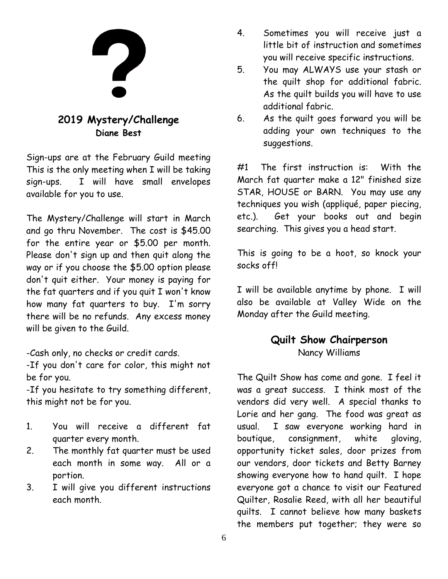![](_page_5_Picture_0.jpeg)

#### **2019 Mystery/Challenge Diane Best**

Sign-ups are at the February Guild meeting This is the only meeting when I will be taking sign-ups. I will have small envelopes available for you to use.

The Mystery/Challenge will start in March and go thru November. The cost is \$45.00 for the entire year or \$5.00 per month. Please don't sign up and then quit along the way or if you choose the \$5.00 option please don't quit either. Your money is paying for the fat quarters and if you quit I won't know how many fat quarters to buy. I'm sorry there will be no refunds. Any excess money will be given to the Guild.

-Cash only, no checks or credit cards.

-If you don't care for color, this might not be for you.

-If you hesitate to try something different, this might not be for you.

- 1. You will receive a different fat quarter every month.
- 2. The monthly fat quarter must be used each month in some way. All or a portion.
- 3. I will give you different instructions each month.
- 4. Sometimes you will receive just a little bit of instruction and sometimes you will receive specific instructions.
- 5. You may ALWAYS use your stash or the quilt shop for additional fabric. As the quilt builds you will have to use additional fabric.
- 6. As the quilt goes forward you will be adding your own techniques to the suggestions.

#1 The first instruction is: With the March fat quarter make a 12" finished size STAR, HOUSE or BARN. You may use any techniques you wish (appliqué, paper piecing, etc.). Get your books out and begin searching. This gives you a head start.

This is going to be a hoot, so knock your socks off!

I will be available anytime by phone. I will also be available at Valley Wide on the Monday after the Guild meeting.

#### **Quilt Show Chairperson** Nancy Williams

The Quilt Show has come and gone. I feel it was a great success. I think most of the vendors did very well. A special thanks to Lorie and her gang. The food was great as usual. I saw everyone working hard in boutique, consignment, white gloving, opportunity ticket sales, door prizes from our vendors, door tickets and Betty Barney showing everyone how to hand quilt. I hope everyone got a chance to visit our Featured Quilter, Rosalie Reed, with all her beautiful quilts. I cannot believe how many baskets the members put together; they were so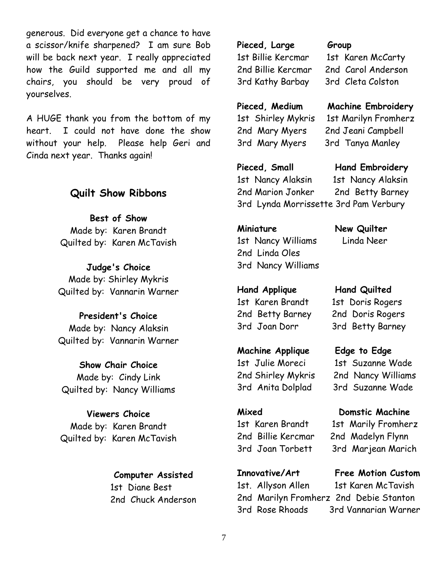generous. Did everyone get a chance to have a scissor/knife sharpened? I am sure Bob will be back next year. I really appreciated how the Guild supported me and all my chairs, you should be very proud of yourselves.

A HUGE thank you from the bottom of my heart. I could not have done the show without your help. Please help Geri and Cinda next year. Thanks again!

#### **Quilt Show Ribbons**

**Best of Show** Made by: Karen Brandt Quilted by: Karen McTavish

**Judge's Choice** Made by: Shirley Mykris Quilted by: Vannarin Warner

#### **President's Choice** Made by: Nancy Alaksin Quilted by: Vannarin Warner

**Show Chair Choice** Made by: Cindy Link

Quilted by: Nancy Williams

#### **Viewers Choice**

Made by: Karen Brandt Quilted by: Karen McTavish

#### **Computer Assisted**

 1st Diane Best 2nd Chuck Anderson **Pieced, Large Group** 3rd Kathy Barbay 3rd Cleta Colston

1st Billie Kercmar 1st Karen McCarty 2nd Billie Kercmar 2nd Carol Anderson

#### **Pieced, Medium Machine Embroidery**

1st Shirley Mykris 1st Marilyn Fromherz 2nd Mary Myers 2nd Jeani Campbell 3rd Mary Myers 3rd Tanya Manley

#### Pieced, Small **Hand Embroidery**

1st Nancy Alaksin 1st Nancy Alaksin 2nd Marion Jonker 2nd Betty Barney 3rd Lynda Morrissette 3rd Pam Verbury

#### **Miniature New Quilter**

1st Nancy Williams Linda Neer 2nd Linda Oles 3rd Nancy Williams

**Hand Applique Hand Quilted** 1st Karen Brandt 1st Doris Rogers 2nd Betty Barney 2nd Doris Rogers 3rd Joan Dorr 3rd Betty Barney

#### **Machine Applique Edge to Edge**

3rd Anita Dolplad 3rd Suzanne Wade

1st Julie Moreci 1st Suzanne Wade 2nd Shirley Mykris 2nd Nancy Williams

#### **Mixed Domstic Machine**

1st Karen Brandt 1st Marily Fromherz 2nd Billie Kercmar 2nd Madelyn Flynn 3rd Joan Torbett 3rd Marjean Marich

# **Innovative/Art Free Motion Custom**

1st. Allyson Allen 1st Karen McTavish 2nd Marilyn Fromherz 2nd Debie Stanton 3rd Rose Rhoads 3rd Vannarian Warner

7